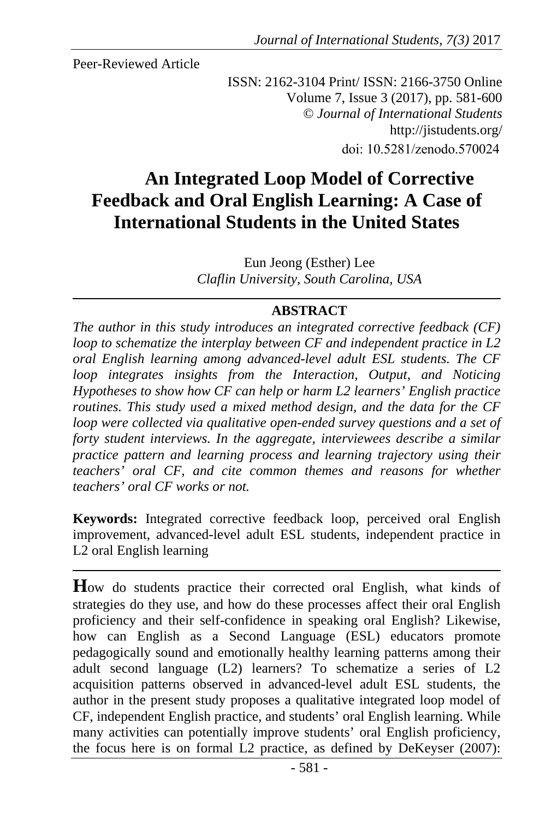Peer-Reviewed Article

ISSN: 2162-3104 Print/ ISSN: 2166-3750 Online Volume 7, Issue 3 (2017), pp. 581-600 © *Journal of International Students* http://jistudents.org/ doi: 10.5281/zenodo.570024

# **An Integrated Loop Model of Corrective Feedback and Oral English Learning: A Case of International Students in the United States**

Eun Jeong (Esther) Lee *Claflin University, South Carolina, USA* 

### **ABSTRACT**

*The author in this study introduces an integrated corrective feedback (CF) loop to schematize the interplay between CF and independent practice in L2 oral English learning among advanced-level adult ESL students. The CF loop integrates insights from the Interaction, Output, and Noticing Hypotheses to show how CF can help or harm L2 learners' English practice routines. This study used a mixed method design, and the data for the CF loop were collected via qualitative open-ended survey questions and a set of forty student interviews. In the aggregate, interviewees describe a similar practice pattern and learning process and learning trajectory using their teachers' oral CF, and cite common themes and reasons for whether teachers' oral CF works or not.* 

**Keywords:** Integrated corrective feedback loop, perceived oral English improvement, advanced-level adult ESL students, independent practice in L2 oral English learning

**H**ow do students practice their corrected oral English, what kinds of strategies do they use, and how do these processes affect their oral English proficiency and their self-confidence in speaking oral English? Likewise, how can English as a Second Language (ESL) educators promote pedagogically sound and emotionally healthy learning patterns among their adult second language (L2) learners? To schematize a series of L2 acquisition patterns observed in advanced-level adult ESL students, the author in the present study proposes a qualitative integrated loop model of CF, independent English practice, and students' oral English learning. While many activities can potentially improve students' oral English proficiency, the focus here is on formal L2 practice, as defined by DeKeyser (2007):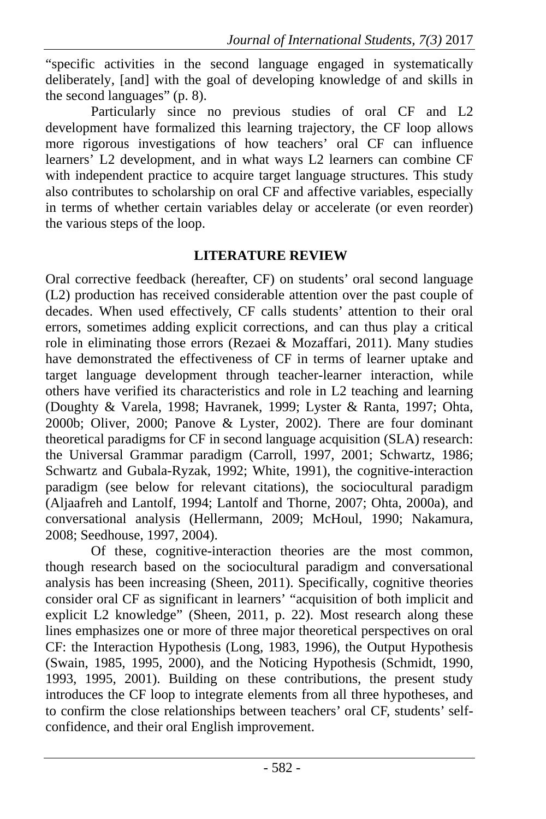"specific activities in the second language engaged in systematically deliberately, [and] with the goal of developing knowledge of and skills in the second languages" (p. 8).

Particularly since no previous studies of oral CF and L2 development have formalized this learning trajectory, the CF loop allows more rigorous investigations of how teachers' oral CF can influence learners' L2 development, and in what ways L2 learners can combine CF with independent practice to acquire target language structures. This study also contributes to scholarship on oral CF and affective variables, especially in terms of whether certain variables delay or accelerate (or even reorder) the various steps of the loop.

### **LITERATURE REVIEW**

Oral corrective feedback (hereafter, CF) on students' oral second language (L2) production has received considerable attention over the past couple of decades. When used effectively, CF calls students' attention to their oral errors, sometimes adding explicit corrections, and can thus play a critical role in eliminating those errors (Rezaei & Mozaffari, 2011). Many studies have demonstrated the effectiveness of CF in terms of learner uptake and target language development through teacher-learner interaction, while others have verified its characteristics and role in L2 teaching and learning (Doughty & Varela, 1998; Havranek, 1999; Lyster & Ranta, 1997; Ohta, 2000b; Oliver, 2000; Panove & Lyster, 2002). There are four dominant theoretical paradigms for CF in second language acquisition (SLA) research: the Universal Grammar paradigm (Carroll, 1997, 2001; Schwartz, 1986; Schwartz and Gubala-Ryzak, 1992; White, 1991), the cognitive-interaction paradigm (see below for relevant citations), the sociocultural paradigm (Aljaafreh and Lantolf, 1994; Lantolf and Thorne, 2007; Ohta, 2000a), and conversational analysis (Hellermann, 2009; McHoul, 1990; Nakamura, 2008; Seedhouse, 1997, 2004).

Of these, cognitive-interaction theories are the most common, though research based on the sociocultural paradigm and conversational analysis has been increasing (Sheen, 2011). Specifically, cognitive theories consider oral CF as significant in learners' "acquisition of both implicit and explicit L2 knowledge" (Sheen, 2011, p. 22). Most research along these lines emphasizes one or more of three major theoretical perspectives on oral CF: the Interaction Hypothesis (Long, 1983, 1996), the Output Hypothesis (Swain, 1985, 1995, 2000), and the Noticing Hypothesis (Schmidt, 1990, 1993, 1995, 2001). Building on these contributions, the present study introduces the CF loop to integrate elements from all three hypotheses, and to confirm the close relationships between teachers' oral CF, students' selfconfidence, and their oral English improvement.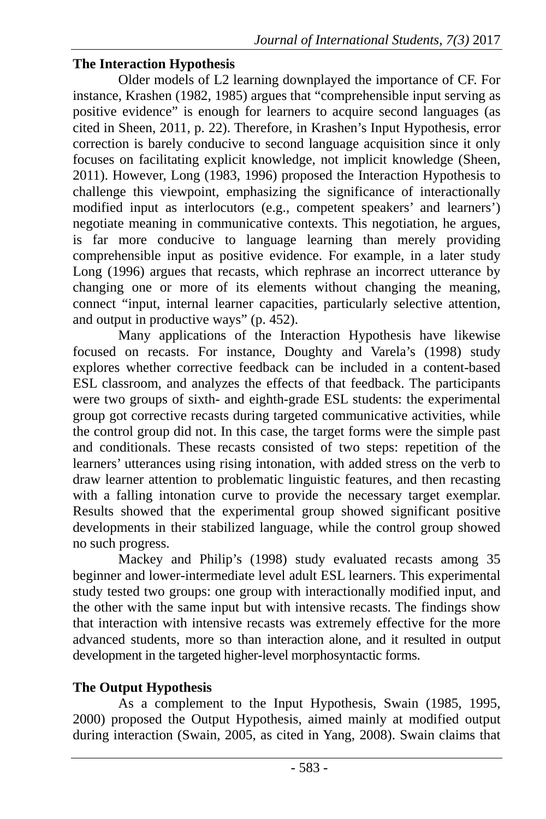#### **The Interaction Hypothesis**

Older models of L2 learning downplayed the importance of CF. For instance, Krashen (1982, 1985) argues that "comprehensible input serving as positive evidence" is enough for learners to acquire second languages (as cited in Sheen, 2011, p. 22). Therefore, in Krashen's Input Hypothesis, error correction is barely conducive to second language acquisition since it only focuses on facilitating explicit knowledge, not implicit knowledge (Sheen, 2011). However, Long (1983, 1996) proposed the Interaction Hypothesis to challenge this viewpoint, emphasizing the significance of interactionally modified input as interlocutors (e.g., competent speakers' and learners') negotiate meaning in communicative contexts. This negotiation, he argues, is far more conducive to language learning than merely providing comprehensible input as positive evidence. For example, in a later study Long (1996) argues that recasts, which rephrase an incorrect utterance by changing one or more of its elements without changing the meaning, connect "input, internal learner capacities, particularly selective attention, and output in productive ways" (p. 452).

Many applications of the Interaction Hypothesis have likewise focused on recasts. For instance, Doughty and Varela's (1998) study explores whether corrective feedback can be included in a content-based ESL classroom, and analyzes the effects of that feedback. The participants were two groups of sixth- and eighth-grade ESL students: the experimental group got corrective recasts during targeted communicative activities, while the control group did not. In this case, the target forms were the simple past and conditionals. These recasts consisted of two steps: repetition of the learners' utterances using rising intonation, with added stress on the verb to draw learner attention to problematic linguistic features, and then recasting with a falling intonation curve to provide the necessary target exemplar. Results showed that the experimental group showed significant positive developments in their stabilized language, while the control group showed no such progress.

Mackey and Philip's (1998) study evaluated recasts among 35 beginner and lower-intermediate level adult ESL learners. This experimental study tested two groups: one group with interactionally modified input, and the other with the same input but with intensive recasts. The findings show that interaction with intensive recasts was extremely effective for the more advanced students, more so than interaction alone, and it resulted in output development in the targeted higher-level morphosyntactic forms.

### **The Output Hypothesis**

As a complement to the Input Hypothesis, Swain (1985, 1995, 2000) proposed the Output Hypothesis, aimed mainly at modified output during interaction (Swain, 2005, as cited in Yang, 2008). Swain claims that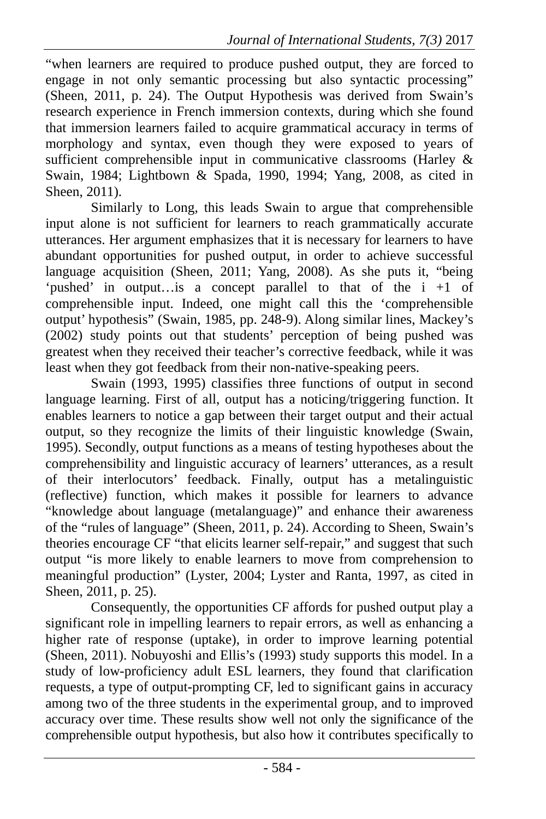"when learners are required to produce pushed output, they are forced to engage in not only semantic processing but also syntactic processing" (Sheen, 2011, p. 24). The Output Hypothesis was derived from Swain's research experience in French immersion contexts, during which she found that immersion learners failed to acquire grammatical accuracy in terms of morphology and syntax, even though they were exposed to years of sufficient comprehensible input in communicative classrooms (Harley & Swain, 1984; Lightbown & Spada, 1990, 1994; Yang, 2008, as cited in Sheen, 2011).

Similarly to Long, this leads Swain to argue that comprehensible input alone is not sufficient for learners to reach grammatically accurate utterances. Her argument emphasizes that it is necessary for learners to have abundant opportunities for pushed output, in order to achieve successful language acquisition (Sheen, 2011; Yang, 2008). As she puts it, "being 'pushed' in output…is a concept parallel to that of the i +1 of comprehensible input. Indeed, one might call this the 'comprehensible output' hypothesis" (Swain, 1985, pp. 248-9). Along similar lines, Mackey's (2002) study points out that students' perception of being pushed was greatest when they received their teacher's corrective feedback, while it was least when they got feedback from their non-native-speaking peers.

Swain (1993, 1995) classifies three functions of output in second language learning. First of all, output has a noticing/triggering function. It enables learners to notice a gap between their target output and their actual output, so they recognize the limits of their linguistic knowledge (Swain, 1995). Secondly, output functions as a means of testing hypotheses about the comprehensibility and linguistic accuracy of learners' utterances, as a result of their interlocutors' feedback. Finally, output has a metalinguistic (reflective) function, which makes it possible for learners to advance "knowledge about language (metalanguage)" and enhance their awareness of the "rules of language" (Sheen, 2011, p. 24). According to Sheen, Swain's theories encourage CF "that elicits learner self-repair," and suggest that such output "is more likely to enable learners to move from comprehension to meaningful production" (Lyster, 2004; Lyster and Ranta, 1997, as cited in Sheen, 2011, p. 25).

Consequently, the opportunities CF affords for pushed output play a significant role in impelling learners to repair errors, as well as enhancing a higher rate of response (uptake), in order to improve learning potential (Sheen, 2011). Nobuyoshi and Ellis's (1993) study supports this model. In a study of low-proficiency adult ESL learners, they found that clarification requests, a type of output-prompting CF, led to significant gains in accuracy among two of the three students in the experimental group, and to improved accuracy over time. These results show well not only the significance of the comprehensible output hypothesis, but also how it contributes specifically to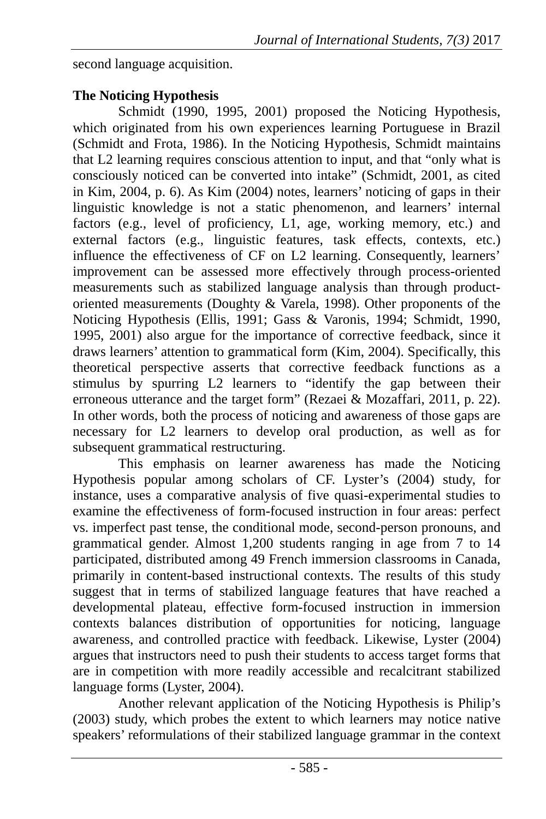second language acquisition.

### **The Noticing Hypothesis**

Schmidt (1990, 1995, 2001) proposed the Noticing Hypothesis, which originated from his own experiences learning Portuguese in Brazil (Schmidt and Frota, 1986). In the Noticing Hypothesis, Schmidt maintains that L2 learning requires conscious attention to input, and that "only what is consciously noticed can be converted into intake" (Schmidt, 2001, as cited in Kim, 2004, p. 6). As Kim (2004) notes, learners' noticing of gaps in their linguistic knowledge is not a static phenomenon, and learners' internal factors (e.g., level of proficiency, L1, age, working memory, etc.) and external factors (e.g., linguistic features, task effects, contexts, etc.) influence the effectiveness of CF on L2 learning. Consequently, learners' improvement can be assessed more effectively through process-oriented measurements such as stabilized language analysis than through productoriented measurements (Doughty & Varela, 1998). Other proponents of the Noticing Hypothesis (Ellis, 1991; Gass & Varonis, 1994; Schmidt, 1990, 1995, 2001) also argue for the importance of corrective feedback, since it draws learners' attention to grammatical form (Kim, 2004). Specifically, this theoretical perspective asserts that corrective feedback functions as a stimulus by spurring L2 learners to "identify the gap between their erroneous utterance and the target form" (Rezaei & Mozaffari, 2011, p. 22). In other words, both the process of noticing and awareness of those gaps are necessary for L2 learners to develop oral production, as well as for subsequent grammatical restructuring.

This emphasis on learner awareness has made the Noticing Hypothesis popular among scholars of CF. Lyster's (2004) study, for instance, uses a comparative analysis of five quasi-experimental studies to examine the effectiveness of form-focused instruction in four areas: perfect vs. imperfect past tense, the conditional mode, second-person pronouns, and grammatical gender. Almost 1,200 students ranging in age from 7 to 14 participated, distributed among 49 French immersion classrooms in Canada, primarily in content-based instructional contexts. The results of this study suggest that in terms of stabilized language features that have reached a developmental plateau, effective form-focused instruction in immersion contexts balances distribution of opportunities for noticing, language awareness, and controlled practice with feedback. Likewise, Lyster (2004) argues that instructors need to push their students to access target forms that are in competition with more readily accessible and recalcitrant stabilized language forms (Lyster, 2004).

Another relevant application of the Noticing Hypothesis is Philip's (2003) study, which probes the extent to which learners may notice native speakers' reformulations of their stabilized language grammar in the context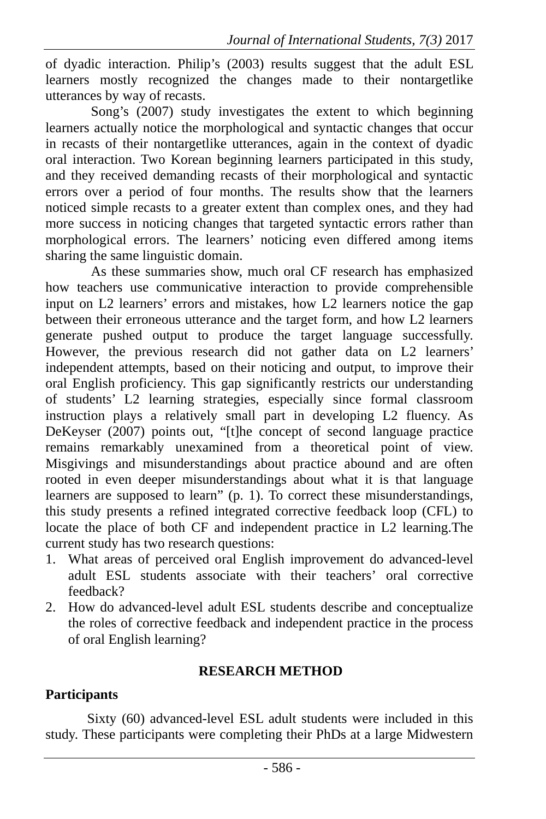of dyadic interaction. Philip's (2003) results suggest that the adult ESL learners mostly recognized the changes made to their nontargetlike utterances by way of recasts.

 Song's (2007) study investigates the extent to which beginning learners actually notice the morphological and syntactic changes that occur in recasts of their nontargetlike utterances, again in the context of dyadic oral interaction. Two Korean beginning learners participated in this study, and they received demanding recasts of their morphological and syntactic errors over a period of four months. The results show that the learners noticed simple recasts to a greater extent than complex ones, and they had more success in noticing changes that targeted syntactic errors rather than morphological errors. The learners' noticing even differed among items sharing the same linguistic domain.

As these summaries show, much oral CF research has emphasized how teachers use communicative interaction to provide comprehensible input on L2 learners' errors and mistakes, how L2 learners notice the gap between their erroneous utterance and the target form, and how L2 learners generate pushed output to produce the target language successfully. However, the previous research did not gather data on L2 learners' independent attempts, based on their noticing and output, to improve their oral English proficiency. This gap significantly restricts our understanding of students' L2 learning strategies, especially since formal classroom instruction plays a relatively small part in developing L2 fluency. As DeKeyser (2007) points out, "[t]he concept of second language practice remains remarkably unexamined from a theoretical point of view. Misgivings and misunderstandings about practice abound and are often rooted in even deeper misunderstandings about what it is that language learners are supposed to learn" (p. 1). To correct these misunderstandings, this study presents a refined integrated corrective feedback loop (CFL) to locate the place of both CF and independent practice in L2 learning.The current study has two research questions:

- 1. What areas of perceived oral English improvement do advanced-level adult ESL students associate with their teachers' oral corrective feedback?
- 2. How do advanced-level adult ESL students describe and conceptualize the roles of corrective feedback and independent practice in the process of oral English learning?

### **RESEARCH METHOD**

## **Participants**

Sixty (60) advanced-level ESL adult students were included in this study. These participants were completing their PhDs at a large Midwestern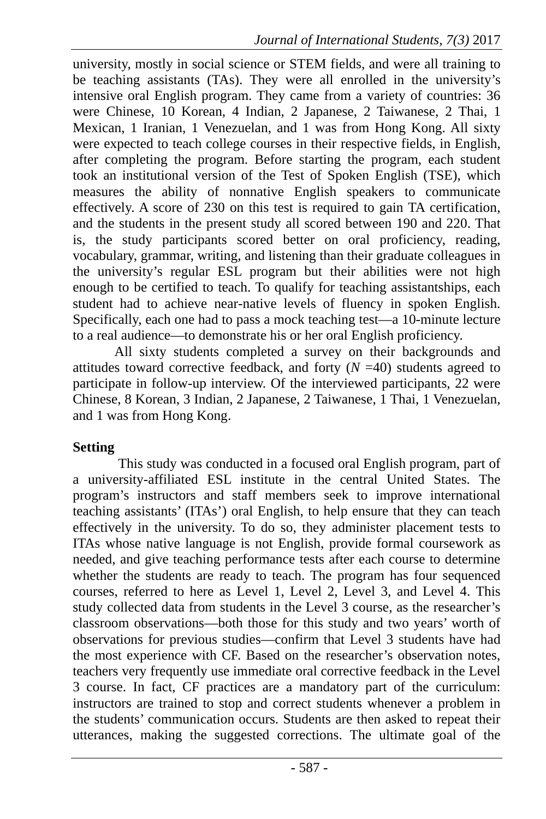university, mostly in social science or STEM fields, and were all training to be teaching assistants (TAs). They were all enrolled in the university's intensive oral English program. They came from a variety of countries: 36 were Chinese, 10 Korean, 4 Indian, 2 Japanese, 2 Taiwanese, 2 Thai, 1 Mexican, 1 Iranian, 1 Venezuelan, and 1 was from Hong Kong. All sixty were expected to teach college courses in their respective fields, in English, after completing the program. Before starting the program, each student took an institutional version of the Test of Spoken English (TSE), which measures the ability of nonnative English speakers to communicate effectively. A score of 230 on this test is required to gain TA certification, and the students in the present study all scored between 190 and 220. That is, the study participants scored better on oral proficiency, reading, vocabulary, grammar, writing, and listening than their graduate colleagues in the university's regular ESL program but their abilities were not high enough to be certified to teach. To qualify for teaching assistantships, each student had to achieve near-native levels of fluency in spoken English. Specifically, each one had to pass a mock teaching test—a 10-minute lecture to a real audience—to demonstrate his or her oral English proficiency.

All sixty students completed a survey on their backgrounds and attitudes toward corrective feedback, and forty  $(N = 40)$  students agreed to participate in follow-up interview. Of the interviewed participants, 22 were Chinese, 8 Korean, 3 Indian, 2 Japanese, 2 Taiwanese, 1 Thai, 1 Venezuelan, and 1 was from Hong Kong.

#### **Setting**

This study was conducted in a focused oral English program, part of a university-affiliated ESL institute in the central United States. The program's instructors and staff members seek to improve international teaching assistants' (ITAs') oral English, to help ensure that they can teach effectively in the university. To do so, they administer placement tests to ITAs whose native language is not English, provide formal coursework as needed, and give teaching performance tests after each course to determine whether the students are ready to teach. The program has four sequenced courses, referred to here as Level 1, Level 2, Level 3, and Level 4. This study collected data from students in the Level 3 course, as the researcher's classroom observations—both those for this study and two years' worth of observations for previous studies—confirm that Level 3 students have had the most experience with CF. Based on the researcher's observation notes, teachers very frequently use immediate oral corrective feedback in the Level 3 course. In fact, CF practices are a mandatory part of the curriculum: instructors are trained to stop and correct students whenever a problem in the students' communication occurs. Students are then asked to repeat their utterances, making the suggested corrections. The ultimate goal of the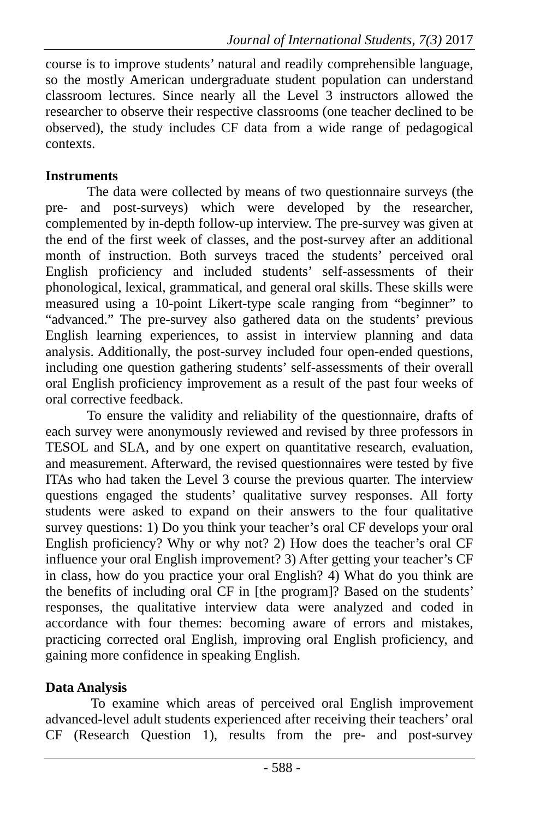course is to improve students' natural and readily comprehensible language, so the mostly American undergraduate student population can understand classroom lectures. Since nearly all the Level 3 instructors allowed the researcher to observe their respective classrooms (one teacher declined to be observed), the study includes CF data from a wide range of pedagogical contexts.

### **Instruments**

The data were collected by means of two questionnaire surveys (the pre- and post-surveys) which were developed by the researcher, complemented by in-depth follow-up interview. The pre-survey was given at the end of the first week of classes, and the post-survey after an additional month of instruction. Both surveys traced the students' perceived oral English proficiency and included students' self-assessments of their phonological, lexical, grammatical, and general oral skills. These skills were measured using a 10-point Likert-type scale ranging from "beginner" to "advanced." The pre-survey also gathered data on the students' previous English learning experiences, to assist in interview planning and data analysis. Additionally, the post-survey included four open-ended questions, including one question gathering students' self-assessments of their overall oral English proficiency improvement as a result of the past four weeks of oral corrective feedback.

To ensure the validity and reliability of the questionnaire, drafts of each survey were anonymously reviewed and revised by three professors in TESOL and SLA, and by one expert on quantitative research, evaluation, and measurement. Afterward, the revised questionnaires were tested by five ITAs who had taken the Level 3 course the previous quarter. The interview questions engaged the students' qualitative survey responses. All forty students were asked to expand on their answers to the four qualitative survey questions: 1) Do you think your teacher's oral CF develops your oral English proficiency? Why or why not? 2) How does the teacher's oral CF influence your oral English improvement? 3) After getting your teacher's CF in class, how do you practice your oral English? 4) What do you think are the benefits of including oral CF in [the program]? Based on the students' responses, the qualitative interview data were analyzed and coded in accordance with four themes: becoming aware of errors and mistakes, practicing corrected oral English, improving oral English proficiency, and gaining more confidence in speaking English.

### **Data Analysis**

To examine which areas of perceived oral English improvement advanced-level adult students experienced after receiving their teachers' oral CF (Research Question 1), results from the pre- and post-survey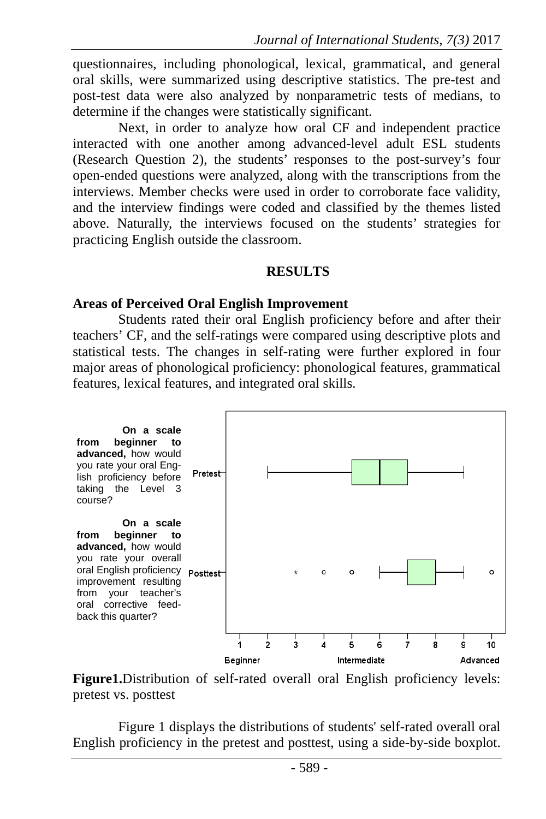questionnaires, including phonological, lexical, grammatical, and general oral skills, were summarized using descriptive statistics. The pre-test and post-test data were also analyzed by nonparametric tests of medians, to determine if the changes were statistically significant.

Next, in order to analyze how oral CF and independent practice interacted with one another among advanced-level adult ESL students (Research Question 2), the students' responses to the post-survey's four open-ended questions were analyzed, along with the transcriptions from the interviews. Member checks were used in order to corroborate face validity, and the interview findings were coded and classified by the themes listed above. Naturally, the interviews focused on the students' strategies for practicing English outside the classroom.

#### **RESULTS**

#### **Areas of Perceived Oral English Improvement**

Students rated their oral English proficiency before and after their teachers' CF, and the self-ratings were compared using descriptive plots and statistical tests. The changes in self-rating were further explored in four major areas of phonological proficiency: phonological features, grammatical features, lexical features, and integrated oral skills.



**Figure1.**Distribution of self-rated overall oral English proficiency levels: pretest vs. posttest

Figure 1 displays the distributions of students' self-rated overall oral English proficiency in the pretest and posttest, using a side-by-side boxplot.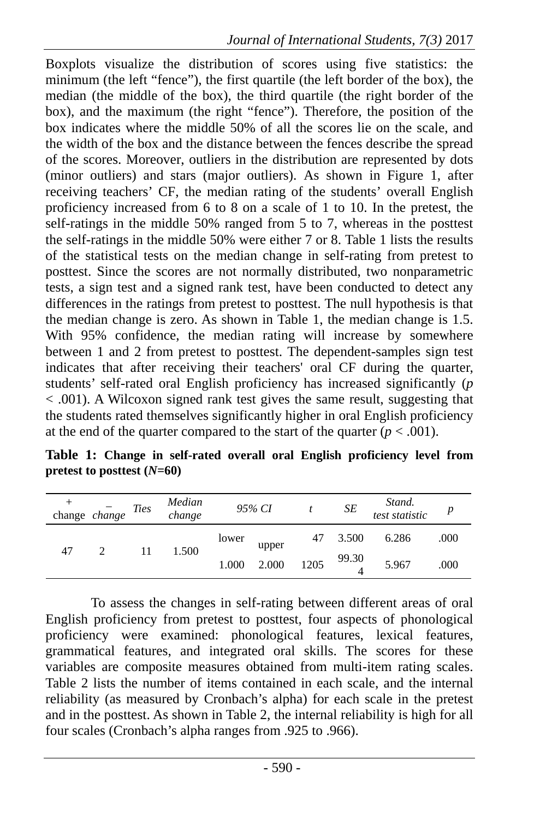Boxplots visualize the distribution of scores using five statistics: the minimum (the left "fence"), the first quartile (the left border of the box), the median (the middle of the box), the third quartile (the right border of the box), and the maximum (the right "fence"). Therefore, the position of the box indicates where the middle 50% of all the scores lie on the scale, and the width of the box and the distance between the fences describe the spread of the scores. Moreover, outliers in the distribution are represented by dots (minor outliers) and stars (major outliers). As shown in Figure 1, after receiving teachers' CF, the median rating of the students' overall English proficiency increased from 6 to 8 on a scale of 1 to 10. In the pretest, the self-ratings in the middle 50% ranged from 5 to 7, whereas in the posttest the self-ratings in the middle 50% were either 7 or 8. Table 1 lists the results of the statistical tests on the median change in self-rating from pretest to posttest. Since the scores are not normally distributed, two nonparametric tests, a sign test and a signed rank test, have been conducted to detect any differences in the ratings from pretest to posttest. The null hypothesis is that the median change is zero. As shown in Table 1, the median change is 1.5. With 95% confidence, the median rating will increase by somewhere between 1 and 2 from pretest to posttest. The dependent-samples sign test indicates that after receiving their teachers' oral CF during the quarter, students' self-rated oral English proficiency has increased significantly (*p* < .001). A Wilcoxon signed rank test gives the same result, suggesting that the students rated themselves significantly higher in oral English proficiency at the end of the quarter compared to the start of the quarter  $(p < .001)$ .

**Table 1: Change in self-rated overall oral English proficiency level from pretest to posttest (***N***=60)**

|    | change $change$ | <b>Ties</b> | Median<br>change |       | 95% CI         |      | SE             | Stand.<br>test statistic |      |
|----|-----------------|-------------|------------------|-------|----------------|------|----------------|--------------------------|------|
| 47 |                 | 11          | 1.500            | lower | upper<br>2.000 | 47   | 3.500<br>99.30 | 6.286                    | .000 |
|    |                 |             |                  | 1.000 |                | 1205 |                | 5.967                    | .000 |

To assess the changes in self-rating between different areas of oral English proficiency from pretest to posttest, four aspects of phonological proficiency were examined: phonological features, lexical features, grammatical features, and integrated oral skills. The scores for these variables are composite measures obtained from multi-item rating scales. Table 2 lists the number of items contained in each scale, and the internal reliability (as measured by Cronbach's alpha) for each scale in the pretest and in the posttest. As shown in Table 2, the internal reliability is high for all four scales (Cronbach's alpha ranges from .925 to .966).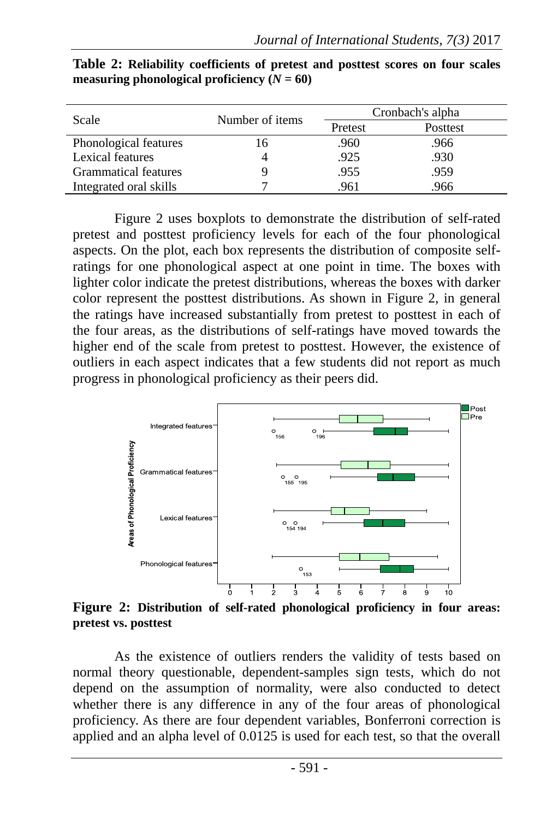| Scale                  | Number of items | Cronbach's alpha |          |  |  |
|------------------------|-----------------|------------------|----------|--|--|
|                        |                 | Pretest          | Posttest |  |  |
| Phonological features  | 16              | .960             | .966     |  |  |
| Lexical features       |                 | .925             | .930     |  |  |
| Grammatical features   |                 | .955             | .959     |  |  |
| Integrated oral skills |                 | .961             | .966     |  |  |

**Table 2: Reliability coefficients of pretest and posttest scores on four scales measuring phonological proficiency**  $(N = 60)$ 

Figure 2 uses boxplots to demonstrate the distribution of self-rated pretest and posttest proficiency levels for each of the four phonological aspects. On the plot, each box represents the distribution of composite selfratings for one phonological aspect at one point in time. The boxes with lighter color indicate the pretest distributions, whereas the boxes with darker color represent the posttest distributions. As shown in Figure 2, in general the ratings have increased substantially from pretest to posttest in each of the four areas, as the distributions of self-ratings have moved towards the higher end of the scale from pretest to posttest. However, the existence of outliers in each aspect indicates that a few students did not report as much progress in phonological proficiency as their peers did.



**Figure 2: Distribution of self-rated phonological proficiency in four areas: pretest vs. posttest**

As the existence of outliers renders the validity of tests based on normal theory questionable, dependent-samples sign tests, which do not depend on the assumption of normality, were also conducted to detect whether there is any difference in any of the four areas of phonological proficiency. As there are four dependent variables, Bonferroni correction is applied and an alpha level of 0.0125 is used for each test, so that the overall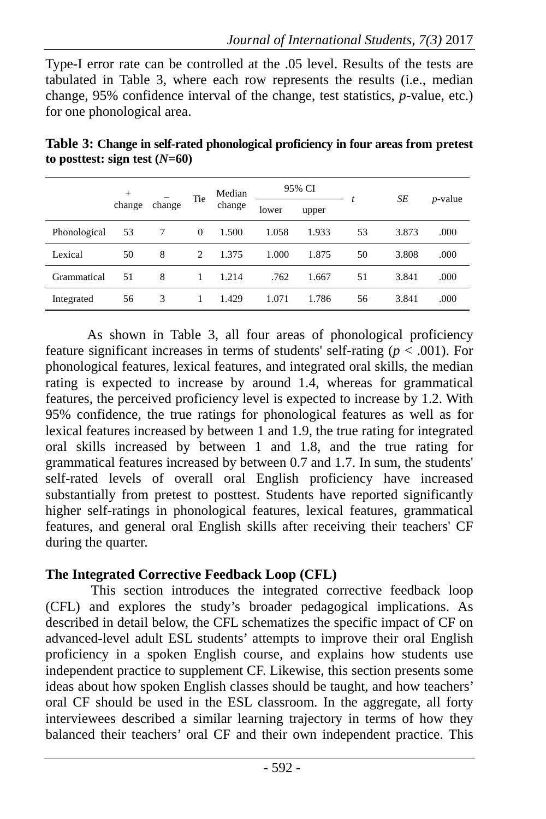Type-I error rate can be controlled at the .05 level. Results of the tests are tabulated in Table 3, where each row represents the results (i.e., median change, 95% confidence interval of the change, test statistics, *p*-value, etc.) for one phonological area.

|              | $+$    | change | Tie      | Median<br>change | 95% CI |       |    | SE    |            |
|--------------|--------|--------|----------|------------------|--------|-------|----|-------|------------|
|              | change |        |          |                  | lower  | upper |    |       | $p$ -value |
| Phonological | 53     |        | $\theta$ | 1.500            | 1.058  | 1.933 | 53 | 3.873 | .000       |
| Lexical      | 50     | 8      | 2        | 1.375            | 1.000  | 1.875 | 50 | 3.808 | .000       |
| Grammatical  | 51     | 8      |          | 1.214            | .762   | 1.667 | 51 | 3.841 | .000       |
| Integrated   | 56     | 3      | 1        | 1.429            | 1.071  | 1.786 | 56 | 3.841 | .000       |

**Table 3: Change in self-rated phonological proficiency in four areas from pretest**   $\text{to posttest: sign test}$   $(N=60)$ 

As shown in Table 3, all four areas of phonological proficiency feature significant increases in terms of students' self-rating ( $p < .001$ ). For phonological features, lexical features, and integrated oral skills, the median rating is expected to increase by around 1.4, whereas for grammatical features, the perceived proficiency level is expected to increase by 1.2. With 95% confidence, the true ratings for phonological features as well as for lexical features increased by between 1 and 1.9, the true rating for integrated oral skills increased by between 1 and 1.8, and the true rating for grammatical features increased by between 0.7 and 1.7. In sum, the students' self-rated levels of overall oral English proficiency have increased substantially from pretest to posttest. Students have reported significantly higher self-ratings in phonological features, lexical features, grammatical features, and general oral English skills after receiving their teachers' CF during the quarter.

### **The Integrated Corrective Feedback Loop (CFL)**

This section introduces the integrated corrective feedback loop (CFL) and explores the study's broader pedagogical implications. As described in detail below, the CFL schematizes the specific impact of CF on advanced-level adult ESL students' attempts to improve their oral English proficiency in a spoken English course, and explains how students use independent practice to supplement CF. Likewise, this section presents some ideas about how spoken English classes should be taught, and how teachers' oral CF should be used in the ESL classroom. In the aggregate, all forty interviewees described a similar learning trajectory in terms of how they balanced their teachers' oral CF and their own independent practice. This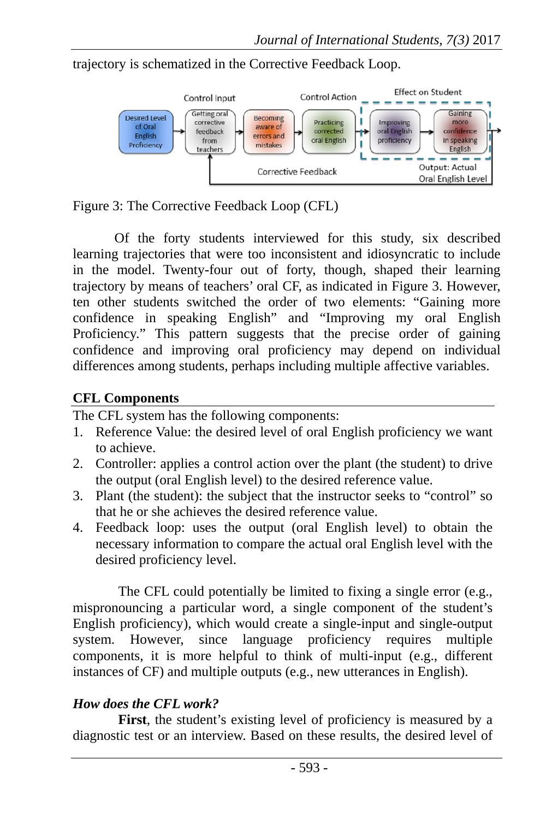

trajectory is schematized in the Corrective Feedback Loop.

Figure 3: The Corrective Feedback Loop (CFL)

Of the forty students interviewed for this study, six described learning trajectories that were too inconsistent and idiosyncratic to include in the model. Twenty-four out of forty, though, shaped their learning trajectory by means of teachers' oral CF, as indicated in Figure 3. However, ten other students switched the order of two elements: "Gaining more confidence in speaking English" and "Improving my oral English Proficiency." This pattern suggests that the precise order of gaining confidence and improving oral proficiency may depend on individual differences among students, perhaps including multiple affective variables.

#### **CFL Components**

The CFL system has the following components:

- 1. Reference Value: the desired level of oral English proficiency we want to achieve.
- 2. Controller: applies a control action over the plant (the student) to drive the output (oral English level) to the desired reference value.
- 3. Plant (the student): the subject that the instructor seeks to "control" so that he or she achieves the desired reference value.
- 4. Feedback loop: uses the output (oral English level) to obtain the necessary information to compare the actual oral English level with the desired proficiency level.

The CFL could potentially be limited to fixing a single error (e.g., mispronouncing a particular word, a single component of the student's English proficiency), which would create a single-input and single-output system. However, since language proficiency requires multiple components, it is more helpful to think of multi-input (e.g., different instances of CF) and multiple outputs (e.g., new utterances in English).

### *How does the CFL work?*

First, the student's existing level of proficiency is measured by a diagnostic test or an interview. Based on these results, the desired level of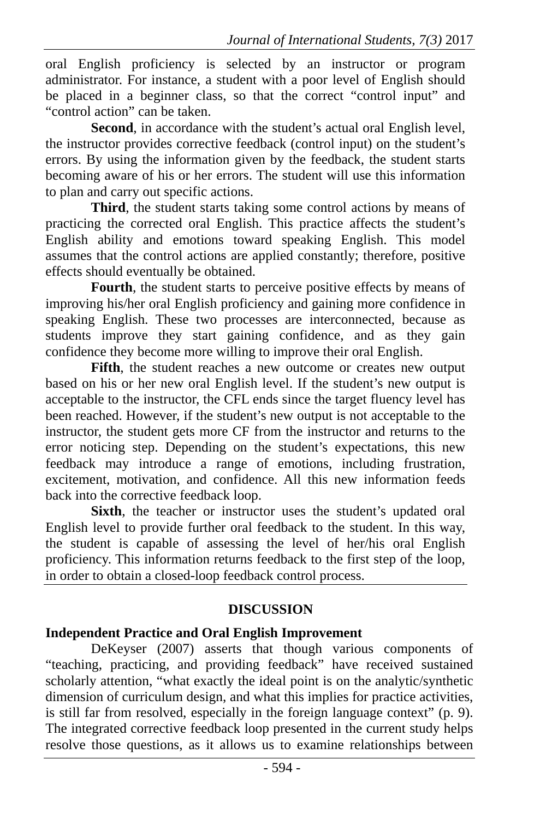oral English proficiency is selected by an instructor or program administrator. For instance, a student with a poor level of English should be placed in a beginner class, so that the correct "control input" and "control action" can be taken.

Second, in accordance with the student's actual oral English level, the instructor provides corrective feedback (control input) on the student's errors. By using the information given by the feedback, the student starts becoming aware of his or her errors. The student will use this information to plan and carry out specific actions.

**Third**, the student starts taking some control actions by means of practicing the corrected oral English. This practice affects the student's English ability and emotions toward speaking English. This model assumes that the control actions are applied constantly; therefore, positive effects should eventually be obtained.

Fourth, the student starts to perceive positive effects by means of improving his/her oral English proficiency and gaining more confidence in speaking English. These two processes are interconnected, because as students improve they start gaining confidence, and as they gain confidence they become more willing to improve their oral English.

Fifth, the student reaches a new outcome or creates new output based on his or her new oral English level. If the student's new output is acceptable to the instructor, the CFL ends since the target fluency level has been reached. However, if the student's new output is not acceptable to the instructor, the student gets more CF from the instructor and returns to the error noticing step. Depending on the student's expectations, this new feedback may introduce a range of emotions, including frustration, excitement, motivation, and confidence. All this new information feeds back into the corrective feedback loop.

Sixth, the teacher or instructor uses the student's updated oral English level to provide further oral feedback to the student. In this way, the student is capable of assessing the level of her/his oral English proficiency. This information returns feedback to the first step of the loop, in order to obtain a closed-loop feedback control process.

### **DISCUSSION**

### **Independent Practice and Oral English Improvement**

DeKeyser (2007) asserts that though various components of "teaching, practicing, and providing feedback" have received sustained scholarly attention, "what exactly the ideal point is on the analytic/synthetic dimension of curriculum design, and what this implies for practice activities, is still far from resolved, especially in the foreign language context" (p. 9). The integrated corrective feedback loop presented in the current study helps resolve those questions, as it allows us to examine relationships between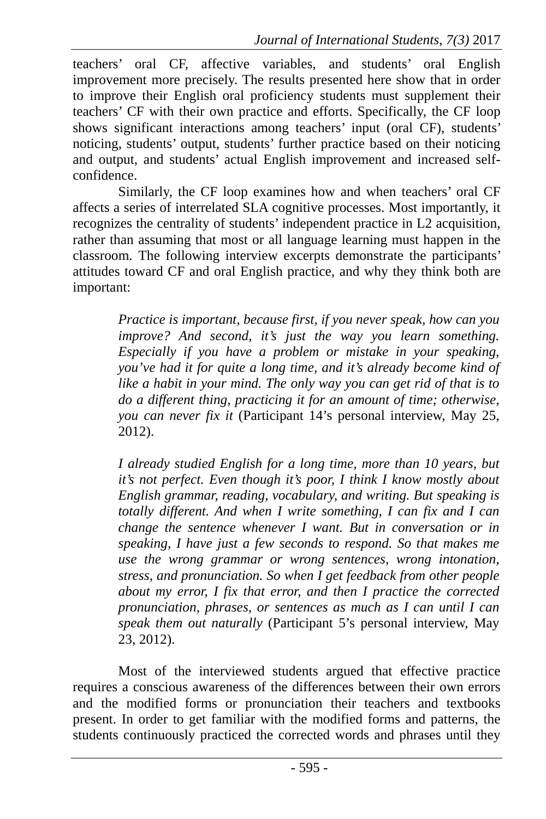teachers' oral CF, affective variables, and students' oral English improvement more precisely. The results presented here show that in order to improve their English oral proficiency students must supplement their teachers' CF with their own practice and efforts. Specifically, the CF loop shows significant interactions among teachers' input (oral CF), students' noticing, students' output, students' further practice based on their noticing and output, and students' actual English improvement and increased selfconfidence.

Similarly, the CF loop examines how and when teachers' oral CF affects a series of interrelated SLA cognitive processes. Most importantly, it recognizes the centrality of students' independent practice in L2 acquisition, rather than assuming that most or all language learning must happen in the classroom. The following interview excerpts demonstrate the participants' attitudes toward CF and oral English practice, and why they think both are important:

> *Practice is important, because first, if you never speak, how can you improve? And second, it's just the way you learn something. Especially if you have a problem or mistake in your speaking, you've had it for quite a long time, and it's already become kind of like a habit in your mind. The only way you can get rid of that is to do a different thing, practicing it for an amount of time; otherwise, you can never fix it* (Participant 14's personal interview, May 25, 2012).

> *I already studied English for a long time, more than 10 years, but it's not perfect. Even though it's poor, I think I know mostly about English grammar, reading, vocabulary, and writing. But speaking is totally different. And when I write something, I can fix and I can change the sentence whenever I want. But in conversation or in speaking, I have just a few seconds to respond. So that makes me use the wrong grammar or wrong sentences, wrong intonation, stress, and pronunciation. So when I get feedback from other people about my error, I fix that error, and then I practice the corrected pronunciation, phrases, or sentences as much as I can until I can speak them out naturally* (Participant 5's personal interview, May 23, 2012).

Most of the interviewed students argued that effective practice requires a conscious awareness of the differences between their own errors and the modified forms or pronunciation their teachers and textbooks present. In order to get familiar with the modified forms and patterns, the students continuously practiced the corrected words and phrases until they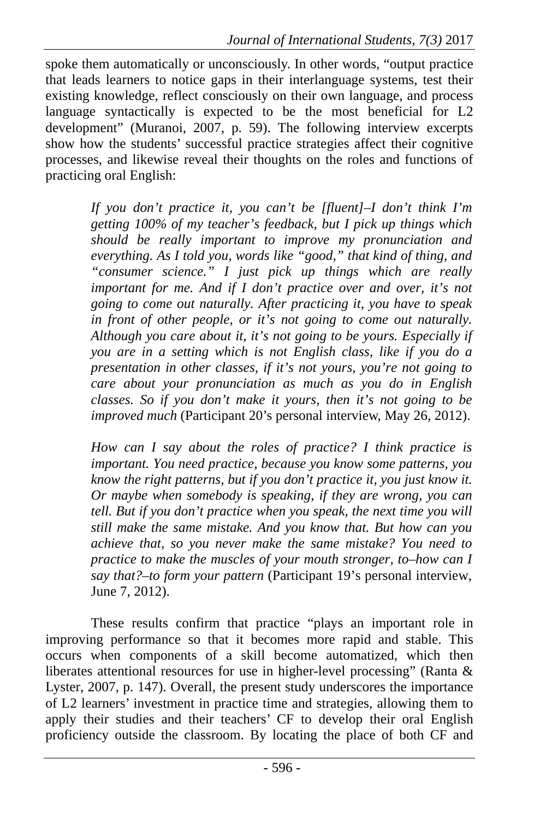spoke them automatically or unconsciously. In other words, "output practice that leads learners to notice gaps in their interlanguage systems, test their existing knowledge, reflect consciously on their own language, and process language syntactically is expected to be the most beneficial for L2 development" (Muranoi, 2007, p. 59). The following interview excerpts show how the students' successful practice strategies affect their cognitive processes, and likewise reveal their thoughts on the roles and functions of practicing oral English:

> *If you don't practice it, you can't be [fluent]–I don't think I'm getting 100% of my teacher's feedback, but I pick up things which should be really important to improve my pronunciation and everything. As I told you, words like "good," that kind of thing, and "consumer science." I just pick up things which are really important for me. And if I don't practice over and over, it's not going to come out naturally. After practicing it, you have to speak in front of other people, or it's not going to come out naturally. Although you care about it, it's not going to be yours. Especially if you are in a setting which is not English class, like if you do a presentation in other classes, if it's not yours, you're not going to care about your pronunciation as much as you do in English classes. So if you don't make it yours, then it's not going to be improved much* (Participant 20's personal interview, May 26, 2012).

> *How can I say about the roles of practice? I think practice is important. You need practice, because you know some patterns, you know the right patterns, but if you don't practice it, you just know it. Or maybe when somebody is speaking, if they are wrong, you can tell. But if you don't practice when you speak, the next time you will still make the same mistake. And you know that. But how can you achieve that, so you never make the same mistake? You need to practice to make the muscles of your mouth stronger, to–how can I say that?–to form your pattern* (Participant 19's personal interview, June 7, 2012).

These results confirm that practice "plays an important role in improving performance so that it becomes more rapid and stable. This occurs when components of a skill become automatized, which then liberates attentional resources for use in higher-level processing" (Ranta & Lyster, 2007, p. 147). Overall, the present study underscores the importance of L2 learners' investment in practice time and strategies, allowing them to apply their studies and their teachers' CF to develop their oral English proficiency outside the classroom. By locating the place of both CF and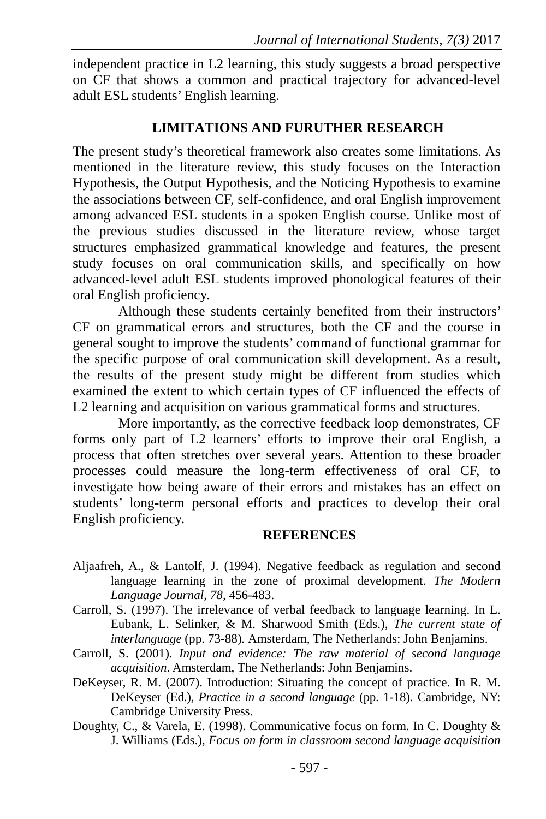independent practice in L2 learning, this study suggests a broad perspective on CF that shows a common and practical trajectory for advanced-level adult ESL students' English learning.

### **LIMITATIONS AND FURUTHER RESEARCH**

The present study's theoretical framework also creates some limitations. As mentioned in the literature review, this study focuses on the Interaction Hypothesis, the Output Hypothesis, and the Noticing Hypothesis to examine the associations between CF, self-confidence, and oral English improvement among advanced ESL students in a spoken English course. Unlike most of the previous studies discussed in the literature review, whose target structures emphasized grammatical knowledge and features, the present study focuses on oral communication skills, and specifically on how advanced-level adult ESL students improved phonological features of their oral English proficiency.

Although these students certainly benefited from their instructors' CF on grammatical errors and structures, both the CF and the course in general sought to improve the students' command of functional grammar for the specific purpose of oral communication skill development. As a result, the results of the present study might be different from studies which examined the extent to which certain types of CF influenced the effects of L2 learning and acquisition on various grammatical forms and structures.

More importantly, as the corrective feedback loop demonstrates, CF forms only part of L2 learners' efforts to improve their oral English, a process that often stretches over several years. Attention to these broader processes could measure the long-term effectiveness of oral CF, to investigate how being aware of their errors and mistakes has an effect on students' long-term personal efforts and practices to develop their oral English proficiency.

#### **REFERENCES**

- Aljaafreh, A., & Lantolf, J. (1994). Negative feedback as regulation and second language learning in the zone of proximal development. *The Modern Language Journal, 78*, 456-483.
- Carroll, S. (1997). The irrelevance of verbal feedback to language learning. In L. Eubank, L. Selinker, & M. Sharwood Smith (Eds.), *The current state of interlanguage* (pp. 73-88)*.* Amsterdam, The Netherlands: John Benjamins.
- Carroll, S. (2001). *Input and evidence: The raw material of second language acquisition*. Amsterdam, The Netherlands: John Benjamins.
- DeKeyser, R. M. (2007). Introduction: Situating the concept of practice. In R. M. DeKeyser (Ed.), *Practice in a second language* (pp. 1-18). Cambridge, NY: Cambridge University Press.
- Doughty, C., & Varela, E. (1998). Communicative focus on form. In C. Doughty & J. Williams (Eds.), *Focus on form in classroom second language acquisition*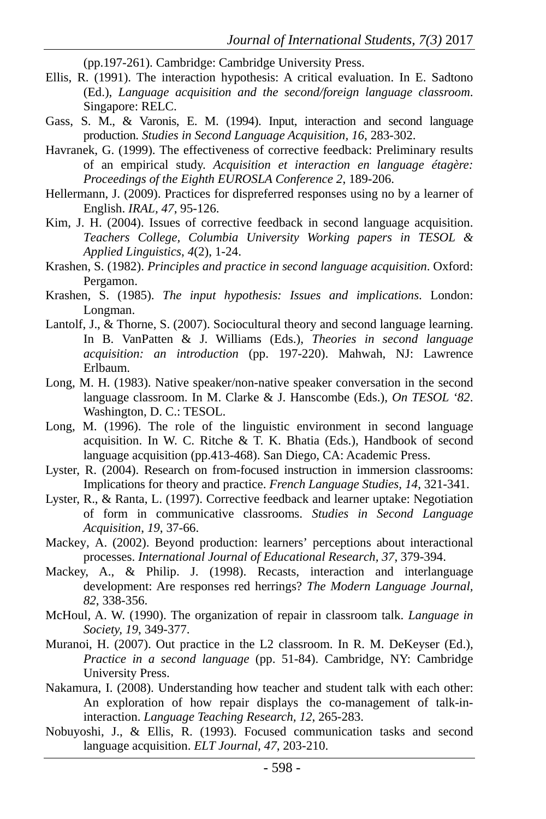(pp.197-261). Cambridge: Cambridge University Press.

- Ellis, R. (1991). The interaction hypothesis: A critical evaluation. In E. Sadtono (Ed.), *Language acquisition and the second/foreign language classroom*. Singapore: RELC.
- Gass, S. M., & Varonis, E. M. (1994). Input, interaction and second language production. *Studies in Second Language Acquisition, 16*, 283-302.
- Havranek, G. (1999). The effectiveness of corrective feedback: Preliminary results of an empirical study. *Acquisition et interaction en language étagère: Proceedings of the Eighth EUROSLA Conference 2*, 189-206.
- Hellermann, J. (2009). Practices for dispreferred responses using no by a learner of English. *IRAL, 47*, 95-126.
- Kim, J. H. (2004). Issues of corrective feedback in second language acquisition. *Teachers College, Columbia University Working papers in TESOL & Applied Linguistics*, *4*(2), 1-24.
- Krashen, S. (1982). *Principles and practice in second language acquisition*. Oxford: Pergamon.
- Krashen, S. (1985). *The input hypothesis: Issues and implications*. London: Longman.
- Lantolf, J., & Thorne, S. (2007). Sociocultural theory and second language learning. In B. VanPatten & J. Williams (Eds.), *Theories in second language acquisition: an introduction* (pp. 197-220). Mahwah, NJ: Lawrence Erlbaum.
- Long, M. H. (1983). Native speaker/non-native speaker conversation in the second language classroom. In M. Clarke & J. Hanscombe (Eds.), *On TESOL '82*. Washington, D. C.: TESOL.
- Long, M. (1996). The role of the linguistic environment in second language acquisition. In W. C. Ritche & T. K. Bhatia (Eds.), Handbook of second language acquisition (pp.413-468). San Diego, CA: Academic Press.
- Lyster, R. (2004). Research on from-focused instruction in immersion classrooms: Implications for theory and practice. *French Language Studies, 14*, 321-341.
- Lyster, R., & Ranta, L. (1997). Corrective feedback and learner uptake: Negotiation of form in communicative classrooms. *Studies in Second Language Acquisition*, *19*, 37-66.
- Mackey, A. (2002). Beyond production: learners' perceptions about interactional processes. *International Journal of Educational Research, 37*, 379-394.
- Mackey, A., & Philip. J. (1998). Recasts, interaction and interlanguage development: Are responses red herrings? *The Modern Language Journal, 82*, 338-356.
- McHoul, A. W. (1990). The organization of repair in classroom talk. *Language in Society, 19*, 349-377.
- Muranoi, H. (2007). Out practice in the L2 classroom. In R. M. DeKeyser (Ed.), *Practice in a second language* (pp. 51-84). Cambridge, NY: Cambridge University Press.
- Nakamura, I. (2008). Understanding how teacher and student talk with each other: An exploration of how repair displays the co-management of talk-ininteraction. *Language Teaching Research, 12*, 265-283.
- Nobuyoshi, J., & Ellis, R. (1993). Focused communication tasks and second language acquisition. *ELT Journal, 47*, 203-210.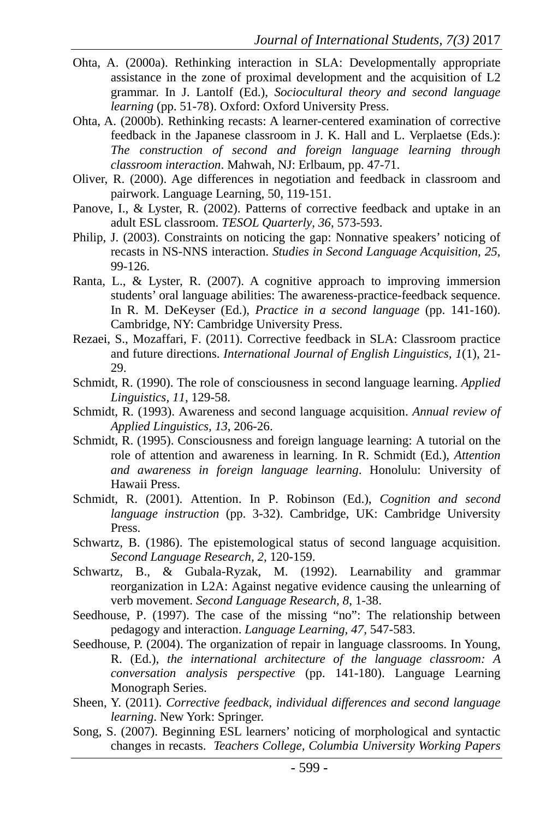- Ohta, A. (2000a). Rethinking interaction in SLA: Developmentally appropriate assistance in the zone of proximal development and the acquisition of L2 grammar. In J. Lantolf (Ed.), *Sociocultural theory and second language learning* (pp. 51-78). Oxford: Oxford University Press.
- Ohta, A. (2000b). Rethinking recasts: A learner-centered examination of corrective feedback in the Japanese classroom in J. K. Hall and L. Verplaetse (Eds.): *The construction of second and foreign language learning through classroom interaction*. Mahwah, NJ: Erlbaum, pp. 47-71.
- Oliver, R. (2000). Age differences in negotiation and feedback in classroom and pairwork. Language Learning, 50, 119-151.
- Panove, I., & Lyster, R. (2002). Patterns of corrective feedback and uptake in an adult ESL classroom. *TESOL Quarterly*, *36*, 573-593.
- Philip, J. (2003). Constraints on noticing the gap: Nonnative speakers' noticing of recasts in NS-NNS interaction. *Studies in Second Language Acquisition, 25*, 99-126.
- Ranta, L., & Lyster, R. (2007). A cognitive approach to improving immersion students' oral language abilities: The awareness-practice-feedback sequence. In R. M. DeKeyser (Ed.), *Practice in a second language* (pp. 141-160). Cambridge, NY: Cambridge University Press.
- Rezaei, S., Mozaffari, F. (2011). Corrective feedback in SLA: Classroom practice and future directions. *International Journal of English Linguistics, 1*(1), 21- 29.
- Schmidt, R. (1990). The role of consciousness in second language learning. *Applied Linguistics, 11*, 129-58.
- Schmidt, R. (1993). Awareness and second language acquisition. *Annual review of Applied Linguistics, 13*, 206-26.
- Schmidt, R. (1995). Consciousness and foreign language learning: A tutorial on the role of attention and awareness in learning. In R. Schmidt (Ed.), *Attention and awareness in foreign language learning*. Honolulu: University of Hawaii Press.
- Schmidt, R. (2001). Attention. In P. Robinson (Ed.), *Cognition and second language instruction* (pp. 3-32). Cambridge, UK: Cambridge University Press.
- Schwartz, B. (1986). The epistemological status of second language acquisition. *Second Language Research, 2*, 120-159.
- Schwartz, B., & Gubala-Ryzak, M. (1992). Learnability and grammar reorganization in L2A: Against negative evidence causing the unlearning of verb movement. *Second Language Research, 8*, 1-38.
- Seedhouse, P. (1997). The case of the missing "no": The relationship between pedagogy and interaction. *Language Learning, 47*, 547-583.
- Seedhouse, P. (2004). The organization of repair in language classrooms. In Young, R. (Ed.), *the international architecture of the language classroom: A conversation analysis perspective* (pp. 141-180). Language Learning Monograph Series.
- Sheen, Y. (2011). *Corrective feedback, individual differences and second language learning*. New York: Springer.
- Song, S. (2007). Beginning ESL learners' noticing of morphological and syntactic changes in recasts. *Teachers College, Columbia University Working Papers*